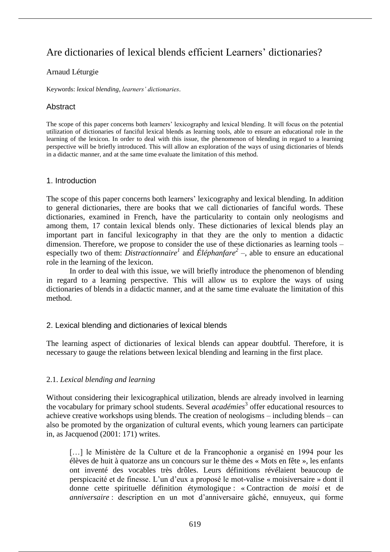# Are dictionaries of lexical blends efficient Learners' dictionaries?

### Arnaud Léturgie

Keywords: *lexical blending*, *learners' dictionaries*.

### Abstract

The scope of this paper concerns both learners' lexicography and lexical blending. It will focus on the potential utilization of dictionaries of fanciful lexical blends as learning tools, able to ensure an educational role in the learning of the lexicon. In order to deal with this issue, the phenomenon of blending in regard to a learning perspective will be briefly introduced. This will allow an exploration of the ways of using dictionaries of blends in a didactic manner, and at the same time evaluate the limitation of this method.

#### 1. Introduction

The scope of this paper concerns both learners' lexicography and lexical blending. In addition to general dictionaries, there are books that we call dictionaries of fanciful words. These dictionaries, examined in French, have the particularity to contain only neologisms and among them, 17 contain lexical blends only. These dictionaries of lexical blends play an important part in fanciful lexicography in that they are the only to mention a didactic dimension. Therefore, we propose to consider the use of these dictionaries as learning tools – especially two of them: *Distractionnaire<sup>1</sup>* and *Éléphanfare<sup>2</sup>* –, able to ensure an educational role in the learning of the lexicon.

In order to deal with this issue, we will briefly introduce the phenomenon of blending in regard to a learning perspective. This will allow us to explore the ways of using dictionaries of blends in a didactic manner, and at the same time evaluate the limitation of this method.

### 2. Lexical blending and dictionaries of lexical blends

The learning aspect of dictionaries of lexical blends can appear doubtful. Therefore, it is necessary to gauge the relations between lexical blending and learning in the first place.

### 2.1. *Lexical blending and learning*

Without considering their lexicographical utilization, blends are already involved in learning the vocabulary for primary school students. Several *académies*<sup>3</sup> offer educational resources to achieve creative workshops using blends. The creation of neologisms – including blends – can also be promoted by the organization of cultural events, which young learners can participate in, as Jacquenod (2001: 171) writes.

[...] le Ministère de la Culture et de la Francophonie a organisé en 1994 pour les élèves de huit à quatorze ans un concours sur le thème des « Mots en fête », les enfants ont inventé des vocables très drôles. Leurs définitions révélaient beaucoup de perspicacité et de finesse. L'un d'eux a proposé le mot-valise « moisiversaire » dont il donne cette spirituelle définition étymologique : « Contraction de *moisi* et de *anniversaire* : description en un mot d'anniversaire gâché, ennuyeux, qui forme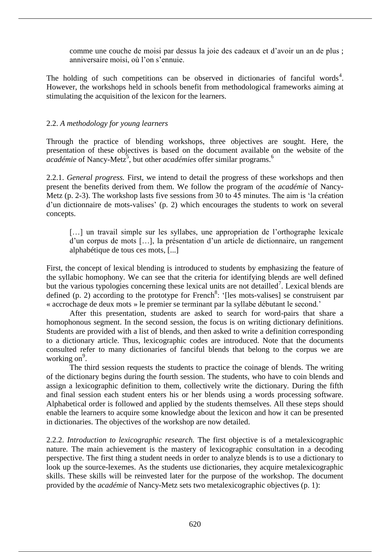comme une couche de moisi par dessus la joie des cadeaux et d'avoir un an de plus ; anniversaire moisi, où l'on s'ennuie.

The holding of such competitions can be observed in dictionaries of fanciful words<sup>4</sup>. However, the workshops held in schools benefit from methodological frameworks aiming at stimulating the acquisition of the lexicon for the learners.

### 2.2. *A methodology for young learners*

Through the practice of blending workshops, three objectives are sought. Here, the presentation of these objectives is based on the document available on the website of the académie of Nancy-Metz<sup>5</sup>, but other *académies* offer similar programs.<sup>6</sup>

2.2.1. *General progress.* First, we intend to detail the progress of these workshops and then present the benefits derived from them. We follow the program of the *académie* of Nancy-Metz (p. 2-3). The workshop lasts five sessions from 30 to 45 minutes. The aim is 'la création d'un dictionnaire de mots-valises' (p. 2) which encourages the students to work on several concepts.

[...] un travail simple sur les syllabes, une appropriation de l'orthographe lexicale d'un corpus de mots […], la présentation d'un article de dictionnaire, un rangement alphabétique de tous ces mots, [...]

First, the concept of lexical blending is introduced to students by emphasizing the feature of the syllabic homophony. We can see that the criteria for identifying blends are well defined but the various typologies concerning these lexical units are not detailled<sup>7</sup>. Lexical blends are defined (p. 2) according to the prototype for French<sup>8</sup>: '[les mots-valises] se construisent par « accrochage de deux mots » le premier se terminant par la syllabe débutant le second.'

After this presentation, students are asked to search for word-pairs that share a homophonous segment. In the second session, the focus is on writing dictionary definitions. Students are provided with a list of blends, and then asked to write a definition corresponding to a dictionary article. Thus, lexicographic codes are introduced. Note that the documents consulted refer to many dictionaries of fanciful blends that belong to the corpus we are working on<sup>9</sup>.

The third session requests the students to practice the coinage of blends. The writing of the dictionary begins during the fourth session. The students, who have to coin blends and assign a lexicographic definition to them, collectively write the dictionary. During the fifth and final session each student enters his or her blends using a words processing software. Alphabetical order is followed and applied by the students themselves. All these steps should enable the learners to acquire some knowledge about the lexicon and how it can be presented in dictionaries. The objectives of the workshop are now detailed.

2.2.2. *Introduction to lexicographic research.* The first objective is of a metalexicographic nature. The main achievement is the mastery of lexicographic consultation in a decoding perspective. The first thing a student needs in order to analyze blends is to use a dictionary to look up the source-lexemes. As the students use dictionaries, they acquire metalexicographic skills. These skills will be reinvested later for the purpose of the workshop. The document provided by the *académie* of Nancy-Metz sets two metalexicographic objectives (p. 1):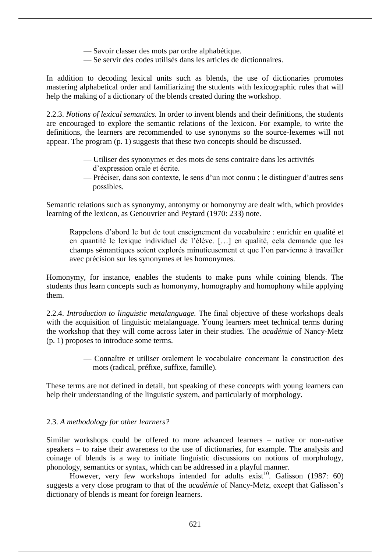— Savoir classer des mots par ordre alphabétique.

— Se servir des codes utilisés dans les articles de dictionnaires.

In addition to decoding lexical units such as blends, the use of dictionaries promotes mastering alphabetical order and familiarizing the students with lexicographic rules that will help the making of a dictionary of the blends created during the workshop.

2.2.3. *Notions of lexical semantics.* In order to invent blends and their definitions, the students are encouraged to explore the semantic relations of the lexicon. For example, to write the definitions, the learners are recommended to use synonyms so the source-lexemes will not appear. The program (p. 1) suggests that these two concepts should be discussed.

- Utiliser des synonymes et des mots de sens contraire dans les activités d'expression orale et écrite.
- Préciser, dans son contexte, le sens d'un mot connu ; le distinguer d'autres sens possibles.

Semantic relations such as synonymy, antonymy or homonymy are dealt with, which provides learning of the lexicon, as Genouvrier and Peytard (1970: 233) note.

Rappelons d'abord le but de tout enseignement du vocabulaire : enrichir en qualité et en quantité le lexique individuel de l'élève. […] en qualité, cela demande que les champs sémantiques soient explorés minutieusement et que l'on parvienne à travailler avec précision sur les synonymes et les homonymes.

Homonymy, for instance, enables the students to make puns while coining blends. The students thus learn concepts such as homonymy, homography and homophony while applying them.

2.2.4. *Introduction to linguistic metalanguage.* The final objective of these workshops deals with the acquisition of linguistic metalanguage. Young learners meet technical terms during the workshop that they will come across later in their studies. The *académie* of Nancy-Metz (p. 1) proposes to introduce some terms.

> — Connaître et utiliser oralement le vocabulaire concernant la construction des mots (radical, préfixe, suffixe, famille).

These terms are not defined in detail, but speaking of these concepts with young learners can help their understanding of the linguistic system, and particularly of morphology.

### 2.3. *A methodology for other learners?*

Similar workshops could be offered to more advanced learners – native or non-native speakers – to raise their awareness to the use of dictionaries, for example. The analysis and coinage of blends is a way to initiate linguistic discussions on notions of morphology, phonology, semantics or syntax, which can be addressed in a playful manner.

However, very few workshops intended for adults exist<sup>10</sup>. Galisson (1987: 60) suggests a very close program to that of the *académie* of Nancy-Metz, except that Galisson's dictionary of blends is meant for foreign learners.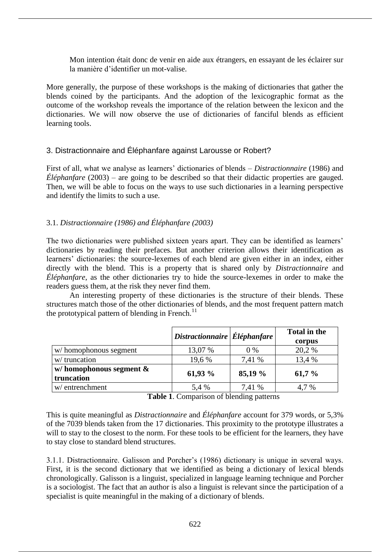Mon intention était donc de venir en aide aux étrangers, en essayant de les éclairer sur la manière d'identifier un mot-valise.

More generally, the purpose of these workshops is the making of dictionaries that gather the blends coined by the participants. And the adoption of the lexicographic format as the outcome of the workshop reveals the importance of the relation between the lexicon and the dictionaries. We will now observe the use of dictionaries of fanciful blends as efficient learning tools.

# 3. Distractionnaire and Éléphanfare against Larousse or Robert?

First of all, what we analyse as learners' dictionaries of blends – *Distractionnaire* (1986) and *Éléphanfare* (2003) – are going to be described so that their didactic properties are gauged. Then, we will be able to focus on the ways to use such dictionaries in a learning perspective and identify the limits to such a use.

# 3.1. *Distractionnaire (1986) and Éléphanfare (2003)*

The two dictionaries were published sixteen years apart. They can be identified as learners' dictionaries by reading their prefaces. But another criterion allows their identification as learners' dictionaries: the source-lexemes of each blend are given either in an index, either directly with the blend. This is a property that is shared only by *Distractionnaire* and *Éléphanfare*, as the other dictionaries try to hide the source-lexemes in order to make the readers guess them, at the risk they never find them.

An interesting property of these dictionaries is the structure of their blends. These structures match those of the other dictionaries of blends, and the most frequent pattern match the prototypical pattern of blending in French.<sup>11</sup>

|                                          | $\mid$ Distractionnaire $\mid$ Éléphanfare |         | <b>Total in the</b><br>corpus |
|------------------------------------------|--------------------------------------------|---------|-------------------------------|
| w/homophonous segment                    | 13,07 %                                    | $0\%$   | 20,2 %                        |
| w/truncation                             | 19,6 %                                     | 7,41 %  | 13,4 %                        |
| w/homophonous segment $\&$<br>truncation | 61,93 %                                    | 85,19 % | 61,7%                         |
| w/entrenchment                           | 5.4 %                                      | 7,41 %  | $\frac{9}{6}$                 |

**Table 1**. Comparison of blending patterns

This is quite meaningful as *Distractionnaire* and *Éléphanfare* account for 379 words, or 5,3% of the 7039 blends taken from the 17 dictionaries. This proximity to the prototype illustrates a will to stay to the closest to the norm. For these tools to be efficient for the learners, they have to stay close to standard blend structures.

3.1.1. Distractionnaire. Galisson and Porcher's (1986) dictionary is unique in several ways. First, it is the second dictionary that we identified as being a dictionary of lexical blends chronologically. Galisson is a linguist, specialized in language learning technique and Porcher is a sociologist. The fact that an author is also a linguist is relevant since the participation of a specialist is quite meaningful in the making of a dictionary of blends.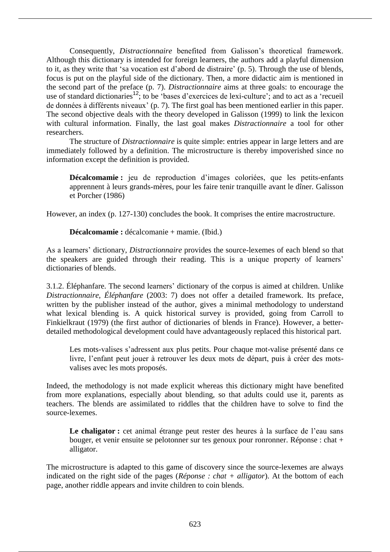Consequently, *Distractionnaire* benefited from Galisson's theoretical framework. Although this dictionary is intended for foreign learners, the authors add a playful dimension to it, as they write that 'sa vocation est d'abord de distraire' (p. 5). Through the use of blends, focus is put on the playful side of the dictionary. Then, a more didactic aim is mentioned in the second part of the preface (p. 7). *Distractionnaire* aims at three goals: to encourage the use of standard dictionaries<sup>12</sup>; to be 'bases d'exercices de lexi-culture'; and to act as a 'recueil de données à différents niveaux' (p. 7). The first goal has been mentioned earlier in this paper. The second objective deals with the theory developed in Galisson (1999) to link the lexicon with cultural information. Finally, the last goal makes *Distractionnaire* a tool for other researchers.

The structure of *Distractionnaire* is quite simple: entries appear in large letters and are immediately followed by a definition. The microstructure is thereby impoverished since no information except the definition is provided.

**Décalcomamie :** jeu de reproduction d'images coloriées, que les petits-enfants apprennent à leurs grands-mères, pour les faire tenir tranquille avant le dîner. Galisson et Porcher (1986)

However, an index (p. 127-130) concludes the book. It comprises the entire macrostructure.

**Décalcomamie :** décalcomanie + mamie. (Ibid.)

As a learners' dictionary, *Distractionnaire* provides the source-lexemes of each blend so that the speakers are guided through their reading. This is a unique property of learners' dictionaries of blends.

3.1.2. Éléphanfare. The second learners' dictionary of the corpus is aimed at children. Unlike *Distractionnaire*, *Éléphanfare* (2003: 7) does not offer a detailed framework. Its preface, written by the publisher instead of the author, gives a minimal methodology to understand what lexical blending is. A quick historical survey is provided, going from Carroll to Finkielkraut (1979) (the first author of dictionaries of blends in France). However, a betterdetailed methodological development could have advantageously replaced this historical part.

Les mots-valises s'adressent aux plus petits. Pour chaque mot-valise présenté dans ce livre, l'enfant peut jouer à retrouver les deux mots de départ, puis à créer des motsvalises avec les mots proposés.

Indeed, the methodology is not made explicit whereas this dictionary might have benefited from more explanations, especially about blending, so that adults could use it, parents as teachers. The blends are assimilated to riddles that the children have to solve to find the source-lexemes.

Le chaligator : cet animal étrange peut rester des heures à la surface de l'eau sans bouger, et venir ensuite se pelotonner sur tes genoux pour ronronner. Réponse : chat + alligator.

The microstructure is adapted to this game of discovery since the source-lexemes are always indicated on the right side of the pages (*Réponse : chat + alligator*). At the bottom of each page, another riddle appears and invite children to coin blends.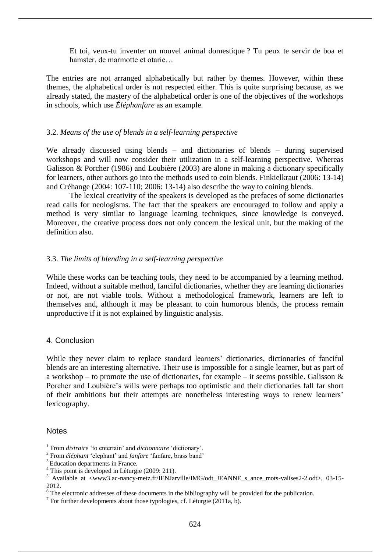Et toi, veux-tu inventer un nouvel animal domestique ? Tu peux te servir de boa et hamster, de marmotte et otarie…

The entries are not arranged alphabetically but rather by themes. However, within these themes, the alphabetical order is not respected either. This is quite surprising because, as we already stated, the mastery of the alphabetical order is one of the objectives of the workshops in schools, which use *Éléphanfare* as an example.

#### 3.2. *Means of the use of blends in a self-learning perspective*

We already discussed using blends – and dictionaries of blends – during supervised workshops and will now consider their utilization in a self-learning perspective. Whereas Galisson & Porcher (1986) and Loubière (2003) are alone in making a dictionary specifically for learners, other authors go into the methods used to coin blends. Finkielkraut (2006: 13-14) and Créhange (2004: 107-110; 2006: 13-14) also describe the way to coining blends.

The lexical creativity of the speakers is developed as the prefaces of some dictionaries read calls for neologisms. The fact that the speakers are encouraged to follow and apply a method is very similar to language learning techniques, since knowledge is conveyed. Moreover, the creative process does not only concern the lexical unit, but the making of the definition also.

#### 3.3. *The limits of blending in a self-learning perspective*

While these works can be teaching tools, they need to be accompanied by a learning method. Indeed, without a suitable method, fanciful dictionaries, whether they are learning dictionaries or not, are not viable tools. Without a methodological framework, learners are left to themselves and, although it may be pleasant to coin humorous blends, the process remain unproductive if it is not explained by linguistic analysis.

#### 4. Conclusion

While they never claim to replace standard learners' dictionaries, dictionaries of fanciful blends are an interesting alternative. Their use is impossible for a single learner, but as part of a workshop – to promote the use of dictionaries, for example – it seems possible. Galisson  $\&$ Porcher and Loubière's wills were perhaps too optimistic and their dictionaries fall far short of their ambitions but their attempts are nonetheless interesting ways to renew learners' lexicography.

#### **Notes**

<sup>1</sup> From *distraire* 'to entertain' and *dictionnaire* 'dictionary'.

<sup>2</sup> From *éléphant* 'elephant' and *fanfare* 'fanfare, brass band'

<sup>&</sup>lt;sup>3</sup> Education departments in France.

<sup>&</sup>lt;sup>4</sup> This point is developed in Léturgie (2009: 211).

<sup>5</sup> Available at <www3.ac-nancy-metz.fr/IENJarville/IMG/odt\_JEANNE\_s\_ance\_mots-valises2-2.odt>, 03-15- 2012.

<sup>&</sup>lt;sup>6</sup> The electronic addresses of these documents in the bibliography will be provided for the publication.

 $^7$  For further developments about those typologies, cf. Léturgie (2011a, b).